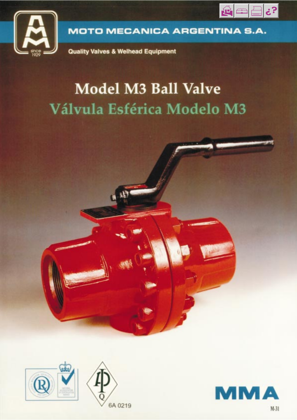



**MOTO MECANICA ARGENTINA S.A.** 

**Quality Valves & Welhead Equipment** 

# **Model M3 Ball Valve** Válvula Esférica Modelo M3



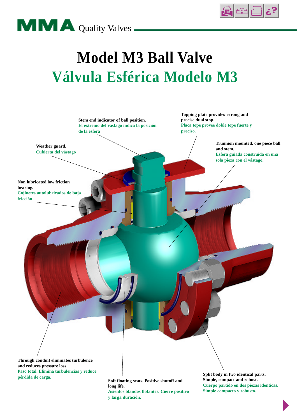



# **Model M3 Ball Valve Válvula Esférica Modelo M3**



**long life. Asientos blandos flotantes. Cierre positivo y larga duración.**

**Simple compacto y robusto.**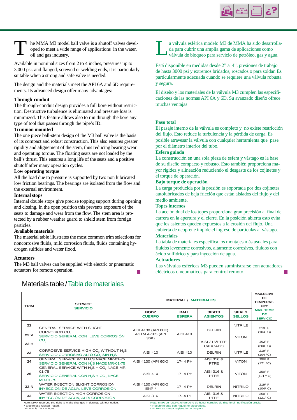

T le MMA M3 model ball valve is a shutoff valves devel-<br>
oil and gas industry.<br>
oil and gas industry.<br>
oil and gas industry.<br>
oil and gas industry. he MMA M3 model ball valve is a shutoff valves developed to meet a wide range of applications in the water, oil and gas industry.

Available in nominal sizes from 2 to 4 inches, pressures up to 3,000 psi. and flanged, screwed or welding ends, it is particularly suitable when a strong and safe valve is needed.

The design and the materials meet the API 6A and 6D requirements. Its advanced design offer many advantages:

#### **Through-conduit**

The through-conduit design provides a full bore without restriction. Destructive turbulence is eliminated and pressure loss is minimized. This feature allows also to run through the bore any type of tool that passes through the pipe's ID.

### **Trunnion mounted**

The one piece ball-stem design of the M3 ball valve is the basis of its compact and robust construction. This also ensures greater rigidity and alignement of the stem, thus reducing bearing wear and operating torque. The floating seats are not loaded by the ball's thrust. This ensures a long life of the seats and a positive shutoff after many operation cycles.

#### **Low operating torque**

All the load due to pressure is supported by two non lubricated low friction bearings. The bearings are isolated from the flow and the external environment.

#### **Internal stops**

Internal double stops give precise topping support during opening and closing. In the open position this prevents exposure of the seats to damage and wear from the flow. The stem area is protected by a rubber weather guard to shield stem from foreign particles.

#### **Available materials**

The material table illustrates the most common trim selections for noncorrosive fluids, mild corrosion fluids, fluids containing hydrogen sulfides and water flood.

#### **Actuators**

The M3 ball valves can be supplied with electric or pneumatic actuators for remote operation.



da para cubrir una amplia gama de aplicaciones como

Está disponible en medidas desde 2" a 4", presiones de trabajo de hasta 3000 psi y extremos bridados, roscados o para soldar. Es particularmente adecuada cuando se requiere una válvula robusta y segura.

El diseño y los materiales de la válvula M3 cumplen las especificaciones de las normas API 6A y 6D. Su avanzado diseño ofrece muchas ventajas:

#### **Paso total**

El pasaje interno de la válvula es completo y no existe restricción del flujo. Esto reduce la turbulencia y la pérdida de carga. Es posible atravesar la válvula con cualquier herramienta que pase por el diámetro interior del tubo.

#### **Esfera guiada**

La construcción en una sola pieza de esfera y vástago es la base de su diseño compacto y robusto. Esto también proporciona mayor rigidez y alineación reduciendo el desgaste de los cojinetes y el torque de operación.

#### **Bajo torque de operación**

La carga producida por la presión es soportada por dos cojinetes autolubricados de baja fricción que están aislados del flujo y del medio ambiente.

#### **Topes internos**

La acción dual de los topes proporciona gran precisión al final de carrera en la apertura y el cierre. En la posición abierta esto evita que los asientos queden expuestos a la erosión del flujo. Una cubierta de neoprene impide el ingreso de partículas al vástago. **Materiales**

La tabla de materiales especifica los montajes más usuales para fluidos levemente corrosivos, altamente corrosivos, fluidos con ácido sulfídrico y para inyección de agua.

### **Actuadores**

Las válvulas esféricas M3 pueden suministrarse con actuadores eléctricos o neumáticos para control remoto.

| <b>TRIM</b> | <b>SERVICE</b>                                                                                                                                            | <b>MATERIAL / MATERIALES</b>   | <b>MAX.SERVI-</b><br><b>CE</b><br><b>TEMPERAT-</b><br><b>URE</b> |                                                                                     |                               |                                                   |
|-------------|-----------------------------------------------------------------------------------------------------------------------------------------------------------|--------------------------------|------------------------------------------------------------------|-------------------------------------------------------------------------------------|-------------------------------|---------------------------------------------------|
|             | <b>SERVICIO</b>                                                                                                                                           | <b>BODY</b><br><b>CUERPO</b>   | <b>BALL</b><br><b>ESFERA</b>                                     | <b>SEATS</b><br><b>ASIENTOS</b>                                                     | <b>SEALS</b><br><b>SELLOS</b> | <b>MAX. TEMP.</b><br><b>DE</b><br><b>SERVICIO</b> |
| 22          | <b>GENERAL SERVICE WITH SLIGHT</b>                                                                                                                        | AISI 4130 (API 60K)            |                                                                  | <b>DELRIN</b>                                                                       | <b>NITRILE</b>                | $219^{\circ}$ F                                   |
| 22 V        | CORROSION CO <sub>2</sub><br>SERVICIO GENERAL CON LEVE CORROSIÓN                                                                                          | ASTM A-105 (API<br>36K)        | AISI 410                                                         |                                                                                     | <b>VITON</b>                  | $(104^{\circ} C)$                                 |
| 22 H        | CO <sub>2</sub>                                                                                                                                           |                                |                                                                  | AISI 316/PTFE<br><b>CARGADO</b>                                                     |                               | 392° F<br>$(200^{\circ} C)$                       |
| 23          | CORROSIVE SERVICE HIGH CO, WITHOUT H <sub>2</sub> S<br>SERVICIO CORROSIVO ALTO CO <sub>2</sub> SIN H <sub>2</sub> S                                       | <b>AISI 410</b>                | AISI 410                                                         | <b>DELRIN</b>                                                                       | <b>NITRILE</b>                | $219^{\circ}$ F<br>(104 °C)                       |
| 24          | GENERAL SERVICE WITH H <sub>2</sub> S NACE MR-01-75<br>SERVICIO GENERAL CON H <sub>2</sub> S NACE MR-01-75                                                | AISI 4130 (API 60K)            | 17-4 PH                                                          | AISI 316 &<br><b>PTFE</b>                                                           | <b>VITON</b>                  | 250° F<br>(121 °C)                                |
| 26          | GENERAL SERVICE WITH H <sub>2</sub> S + CO <sub>2</sub> NACE MR-<br>$01 - 75$<br>SERVICIO GENERAL CON H <sub>2</sub> S + CO <sub>2</sub> NACE<br>MR-01-75 | AISI 410                       | 17-4 PH                                                          | AISI 316 &<br>PTFE                                                                  | <b>VITON</b>                  | $250^\circ$ F<br>(121 °C)                         |
| 32 N        | WATER INJECTION SLIGHT CORROSION<br>INYECCIÓN DE AGUA, LEVE CORROSIÓN                                                                                     | AISI 4130 (API 60K)<br>$ENP^*$ | 17-4 PH                                                          | <b>DELRIN</b>                                                                       | <b>NITRILO</b>                | $219^{\circ}$ F<br>$(104^{\circ} C)$              |
| 33          | WATER INJECTION HIGH CORROSION<br>INYECCIÓN DE AGUA, ALTA CORROSIÓN                                                                                       | AISI 316                       | 17-4 PH                                                          | AISI 316 &<br>PTFE                                                                  | <b>NITRILO</b>                | $250^{\circ}$ F<br>(121° C)                       |
|             | Note: MMA reserves the right to make changes in desings without notice.                                                                                   |                                |                                                                  | Nota: MMA se reserva el derecho de hacer cambios de diseño sin notificación previa. |                               |                                                   |

Materials table / Tabla de materiales

\* Electroless Nicked Plated. DELRIN is TM Du Pont.

Nota: MMA se reserva el derecho de hacer cambios de diseño sin notificación previa. \* Recubrimiento con níquel no electrolítico. DELRIN es marca registrada de Du pont.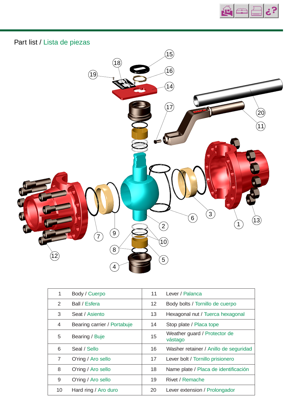



| 1  | Body / Cuerpo               | 11 | Lever / Palanca                         |
|----|-----------------------------|----|-----------------------------------------|
| 2  | Ball / Esfera               | 12 | Body bolts / Tornillo de cuerpo         |
| 3  | Seat / Asiento              | 13 | Hexagonal nut / Tuerca hexagonal        |
| 4  | Bearing carrier / Portabuje | 14 | Stop plate / Placa tope                 |
| 5  | Bearing / Buje              | 15 | Weather guard / Protector de<br>vástago |
| 6  | Seal / Sello                | 16 | Washer retainer / Anillo de seguridad   |
| 7  | O'ring / Aro sello          | 17 | Lever bolt / Tornillo prisionero        |
| 8  | O'ring / Aro sello          | 18 | Name plate / Placa de identificación    |
| 9  | O'ring / Aro sello          | 19 | Rivet / Remache                         |
| 10 | Hard ring / Aro duro        | 20 | Lever extension / Prolongador           |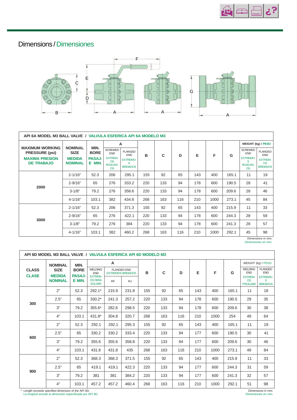

## Dimensions / Dimensiones



| API 6A MODEL M3 BALL VALVE / VALVULA ESFERICA API 6A MODELO M3                                |                                                                  |                                                |                                                                                            |                                                                         |     |     |     |     |      |       |                                                                              |                                                                                |
|-----------------------------------------------------------------------------------------------|------------------------------------------------------------------|------------------------------------------------|--------------------------------------------------------------------------------------------|-------------------------------------------------------------------------|-----|-----|-----|-----|------|-------|------------------------------------------------------------------------------|--------------------------------------------------------------------------------|
|                                                                                               |                                                                  | MIN.<br><b>BORE</b><br><b>PASAJ-</b><br>E MIN. | A                                                                                          |                                                                         |     |     |     |     |      |       | <b>WEIGHT (kg) / PESO</b>                                                    |                                                                                |
| <b>MAXIMUM WORKING</b><br><b>PRESSURE (psi)</b><br><b>MAXIMA PRESION</b><br><b>DE TRABAJO</b> | <b>NOMINAL</b><br><b>SIZE</b><br><b>MEDIDA</b><br><b>NOMINAL</b> |                                                | <b>SCREWED</b><br><b>END</b><br><b>EXTREM-</b><br><b>OS</b><br><b>ROSCAD-</b><br><b>OS</b> | <b>FLANGED</b><br><b>END</b><br><b>EXTREMO-</b><br>S<br><b>BRIDADOS</b> | B   | C   | D   | Е   | F    | G     | <b>SCREWED</b><br><b>END</b><br><b>EXTREMO-</b><br>S<br>ROSCAD-<br><b>OS</b> | <b>FLANGED</b><br><b>END</b><br><b>EXTREM-</b><br><b>OS</b><br><b>BRIDADOS</b> |
|                                                                                               | $2 - 1/16"$                                                      | 52.3                                           | 206                                                                                        | 295.1                                                                   | 155 | 92  | 65  | 143 | 400  | 165.1 | 11                                                                           | 19                                                                             |
| 2000                                                                                          | $2 - 9/16"$                                                      | 65                                             | 276                                                                                        | 333.2                                                                   | 220 | 133 | 94  | 178 | 600  | 190.5 | 28                                                                           | 41                                                                             |
|                                                                                               | $3 - 1/8"$                                                       | 79.2                                           | 276                                                                                        | 358.6                                                                   | 220 | 133 | 94  | 178 | 600  | 209.6 | 28                                                                           | 46                                                                             |
|                                                                                               | $4 - 1/16"$                                                      | 103.1                                          | 382                                                                                        | 434.8                                                                   | 268 | 163 | 116 | 210 | 1000 | 273.1 | 45                                                                           | 84                                                                             |
|                                                                                               | $2 - 1/16"$                                                      | 52.3                                           | 206                                                                                        | 371.3                                                                   | 155 | 92  | 65  | 143 | 400  | 215.9 | 11                                                                           | 33                                                                             |
| 3000                                                                                          | $2 - 9/16"$                                                      | 65                                             | 276                                                                                        | 422.1                                                                   | 220 | 133 | 94  | 178 | 600  | 244.3 | 28                                                                           | 59                                                                             |
|                                                                                               | $3 - 1/8"$                                                       | 79.2                                           | 276                                                                                        | 384                                                                     | 220 | 133 | 94  | 178 | 600  | 241.3 | 28                                                                           | 57                                                                             |
|                                                                                               | $4 - 1/16"$                                                      | 103.1                                          | 382                                                                                        | 460.2                                                                   | 268 | 163 | 116 | 210 | 1000 | 292.1 | 45                                                                           | 98                                                                             |

Dimensions in mm. Dimensiones en mm.

| API 6D MODEL M3 BALL VALVE / VALVULA ESFERICA API 6D MODELO M3 |                                                                  |                                                |                                                                                   |                                                |           |     |     |     |     |      |       |                                                |                                         |
|----------------------------------------------------------------|------------------------------------------------------------------|------------------------------------------------|-----------------------------------------------------------------------------------|------------------------------------------------|-----------|-----|-----|-----|-----|------|-------|------------------------------------------------|-----------------------------------------|
| <b>CLASS</b><br><b>CLASE</b>                                   | <b>NOMINAL</b><br><b>SIZE</b><br><b>MEDIDA</b><br><b>NOMINAL</b> | MIN.<br><b>BORE</b><br><b>PASAJ-</b><br>E MIN. | A                                                                                 |                                                |           |     |     |     |     |      |       | WEIGHT (kg) / PESO                             |                                         |
|                                                                |                                                                  |                                                | <b>WELDING</b><br><b>END</b><br><b>EXTREM-</b><br><b>OS PARA</b><br><b>SOLDAR</b> | <b>FLANGED END</b><br><b>EXTREMOS BRIDADOS</b> |           | B   | C   | D   | Е   | F    | G     | <b>WELDING</b><br><b>END</b>                   | <b>FLANGED</b><br><b>END</b>            |
|                                                                |                                                                  |                                                |                                                                                   | <b>RF</b>                                      | <b>RJ</b> |     |     |     |     |      |       | <b>EXTREM-</b><br><b>OS</b><br><b>P/SOLDAR</b> | <b>EXTREMO-</b><br>S<br><b>BRIDADOS</b> |
|                                                                | 2"                                                               | 52.3                                           | 292.1*                                                                            | 215.9                                          | 231.8     | 155 | 92  | 65  | 143 | 400  | 165.1 | 11                                             | 18                                      |
| 300                                                            | 2.5"                                                             | 65                                             | $330.2*$                                                                          | 241.3                                          | 257.2     | 220 | 133 | 94  | 178 | 600  | 190.5 | 29                                             | 35                                      |
|                                                                | 3"                                                               | 79.2                                           | 355.6*                                                                            | 282.6                                          | 298.5     | 220 | 133 | 94  | 178 | 600  | 209.6 | 30                                             | 38                                      |
|                                                                | 4"                                                               | 103.1                                          | 431.8*                                                                            | 304.8                                          | 320.7     | 268 | 163 | 116 | 210 | 1000 | 254   | 49                                             | 64                                      |
|                                                                | 2"                                                               | 52.3                                           | 292.1                                                                             | 292.1                                          | 295.3     | 155 | 92  | 65  | 143 | 400  | 165.1 | 11                                             | 19                                      |
|                                                                | 2.5"                                                             | 65                                             | 330.2                                                                             | 330.2                                          | 333.4     | 220 | 133 | 94  | 177 | 600  | 190.5 | 30                                             | 41                                      |
| 600                                                            | 3"                                                               | 79.2                                           | 355.6                                                                             | 355.6                                          | 358.8     | 220 | 133 | 94  | 177 | 600  | 209.6 | 30                                             | 46                                      |
|                                                                | 4"                                                               | 103.1                                          | 431.8                                                                             | 431.8                                          | 435       | 268 | 163 | 116 | 210 | 1000 | 273.1 | 49                                             | 84                                      |
|                                                                | 2"                                                               | 52.3                                           | 368.3                                                                             | 368.3                                          | 371.5     | 155 | 92  | 65  | 143 | 400  | 215.9 | 11                                             | 33                                      |
| 900                                                            | 2.5"                                                             | 65                                             | 419.1                                                                             | 419.1                                          | 422.3     | 220 | 133 | 94  | 177 | 600  | 244.3 | 31                                             | 59                                      |
|                                                                | 3"                                                               | 79.2                                           | 381                                                                               | 381                                            | 384.2     | 220 | 133 | 94  | 177 | 600  | 241.3 | 32                                             | 57                                      |
|                                                                | 4"                                                               | 103.1                                          | 457.2                                                                             | 457.2                                          | 460.4     | 268 | 163 | 116 | 210 | 1000 | 292.1 | 51                                             | 98                                      |

\* Length exceeds specified dimension of the API 6D. La longitud excede la dimensión especificada por API 6D.